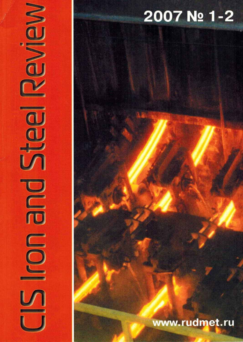# 2007 No 1-2

NOWS

**COD** 

M

## www.rudmet.ru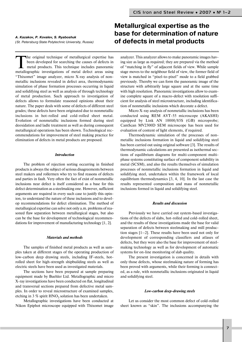(St. Petersburg State Polytechnic University, Russia)

The original technique of metallurgical expertise has<br>been developed for searching the causes of defects in<br>metallorsphip investigations of metal defect expecting<br>metallorsphip investigations of metal defect expecting been developed for searching the causes of defects in metal products. This technique includes panoramic metallographic investigations of metal defect areas using "Thixomet" image analyzer, micro X-ray analysis of nonmetallic inclusions revealed in defect area, thermodynamic simulation of phase formation processes occurring in liquid and solidifying steel as well as analysis of through technology of metal production. Such approach to investigation of defects allows to formulate reasoned opinions about their nature. The paper deals with some of defects of different steel grades; these defects have been originated due to nonmetallic inclusions in hot-rolled and cold-rolled sheet metal. Evolution of nonmetallic inclusions formed during steel deoxidation and ladle treatment as well as during consequent metallurgical operations has been shown. Technological rec ommendations for improvement of steel making practice for elimination of defects in metal products are proposed.

#### *Introduction*

The problem of rejection sorting occurring in finished products is always the subject of serious disagreements between steel makers and rollermen who try to find reasons of defects and parties in fault. Very often the fact of exist of nonmetallic inclusions near defect is itself considered as a base for this defect determination as a steelmaking one. However, sufficient arguments are required in every such case to justify this opin ion, to understand the nature of these inclusions and to devel op recommendations for defect elimination. The method of metallurgical expertise can solve not only a.m. problems of rea soned flaw separation between metallurgical stages, but also can be the base for development of technological recommen dations for improvement of manufacturing technology [1, 2].

#### *Materials and methods*

The samples of finished metal products as well as sam ples taken at different stages of the operating production of low-carbon deep drawing steels, including IF-steels, hotrolled sheet for high-strength shipbuilding steels as well as electric steels have been used as investigated materials.

The sections have been prepared at sample preparing equipment made by Buehler Ltd. Metallographic and micro X-ray investigations have been conducted on flat, longitudinal and transversal sections prepared from defective metal sam ples. In order to reveal microstructure of examined samples, etching in 3  $\%$  spirit HNO<sub>3</sub> solution has been undertaken.

Metallographic investigations have been conducted at Nikon Epiphot microscope equipped with Thixomet image

## **Metallurgical expertise as the base for determination of nature of defects in metal products** *A. Kazakov, P. Kovalev, S. Ryaboshuk*

analyzer. This analyzer allows to make panoramic images hav ing size as large as required; they are prepared via the method of "matching in fly" of adjacent fields of view. While sample stage moves to the neighbour field of view, the former field of view is matched in "pixel-to-pixel" mode to a field grabbed previously. Thereby we can form the panoramic image of the structure with arbitrarily large square and at the same time with high resolution. Panoramic investigations allow to exam ine complete square of a macro-defect with resolution sufficient for analysis of steel microstructure, including identifica tion of nonmetallic inclusions which decorate a defect.

Micro X-ray analysis of nonmetallic inclusions has been conducted using REM AVT-55 microscope (AKASHI) equipped by Link AN 10000/85S (GB) microprobe; CamScan MV2300D SEM microscope has been used for evaluation of content of light elements, if required.

Thermodynamic simulation of the processes of non metallic inclusions formation in liquid and solidifying steel has been carried out using original software [3]. The results of thermodynamic calculations are presented as isothermal sec tions of equilibrium diagrams for multi-component multiphase systems constituting surface of component solubility in metal (SCSM), and also the results themselves of simulation processes of nonmetallic inclusions formation in liquid and solidifying steel, undertaken within the framework of local equilibrium thermodynamics [3, 4, 10]. In the last case the results represented composition and mass of nonmetallic inclusions formed in liquid and solidifying steel.

#### *Results and discussion*

Previously we have carried out system-based investigations of the defects of slabs, hot-rolled and cold-rolled sheet, and the results of these investigations made the base for valid separation of defects between steelmaking and mill produc tion stages [1–2]. These results have been used not only for development of corresponding classifiers and atlases of defects, but they were also the base for improvement of steel making technology as well as for development of automatic systems for on-line monitoring of slab quality.

The present investigation is concerned in details with only those defects, whose steelmaking nature of forming has been proved with arguments, while their forming is connect ed, as a rule, with nonmetallic inclusions originated in liquid and solidifying steel.

#### Low-carbon deep-drawing steels

Let us consider the most common defect of cold-rolled sheet known as "skin". The inclusions accompanying the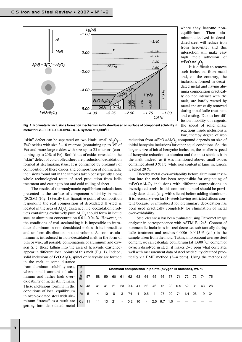

where they become non equilibrium. Then alu minum dissolved in deoxi dated steel will reduce iron from hercynite, and this interaction will make easy high melt adhesion of  $mFeO·nAl<sub>2</sub>O<sub>3</sub>$ .

It is difficult to remove such inclusions from metal and, on the contrary, the inclusions formed in deoxi dated metal and having alu mina composition practical ly do not interact with the melt, are hardly wetted by metal and are easily removed during metal ladle treatment and casting. Due to low dif fusion mobility of reagents, the speed of solid phase reactions inside inclusions is low, thereby degree of iron

Fig. 1. Nonmetallic inclusions formation mechanism in IF-steel based on surface of component solubility in metal for Fe-0.01C-O-0.02Si-Ti-Al system at 1,600°C

"skin" defect can be separated on two kinds: small  $Al_2O_3$ — FeO oxides with size 3–10 microns (containing up to 3% of Fe) and more large oxides with size up to 25 microns (con taining up to 20% of Fe). Both kinds of oxides revealed in the "skin" defect of cold-rolled sheet are products of deoxidation formed at steelmaking stage. It is confirmed by proximity of composition of these oxides and composition of nonmetallic inclusions found out in the samples taken consequently along whole technological route of steel production from ladle treatment and casting to hot and cold rolling of sheet.

The results of thermodynamic equilibrium calculations presented as the surface of component solubility in metal (SCSM) (Fig. 1) testify that figurative point of composition responding the real composition of deoxidated IF-steel is located in the area of  $Al_2O_3$  existence, i. e. deoxidation products containing exclusively pure  $Al_2O_3$  should form in liquid steel at aluminum concentration 0.01–0.04 %. However, in the conditions of real steelmaking it is impossible to intro duce aluminum in non-deoxidated melt with its immediate and uniform distribution in total volume. As soon as alu minum is introduced in non-deoxidated melt in the form of pigs or wire, all possible combinations of aluminum and oxy gen (i. e. those falling into the area of hercynite existence) appear in different local points of this melt (Fig. 1). Indeed, solid inclusions of  $FeO·Al<sub>2</sub>O<sub>3</sub>$  spinel or hercynite are formed in the melt at some distance

reduction from *m*FeO⋅*nAl*<sub>2</sub>O<sub>2</sub> compound depends on size of initial hercynite inclusions for other equal conditions. So, the larger is size of initial hercynite inclusion, the smaller is speed of hercynite reduction to alumina and the most stable is it in the melt. Indeed, as it was mentioned above, small oxides contained about 3 % Fe, while iron content in large inclusions reached 20 %.

Thereby metal over-oxidability before aluminum insertion into the melt has been responsible for originating of mFeO⋅nAl<sub>2</sub>O<sub>3</sub> inclusions with different compositions in investigated steels. In this connection, steel should be previ ously deoxidated (e. g. with silicon) before adding aluminum. It is necessary even for IF-steels having restricted silicon content because Si introduced for preliminary deoxidation has been used practically completely for elimination of metal over-oxidability.

Steel cleanness has been evaluated using Thixomet image analyzer in correspondence with ASTM E 1245. Content of nonmetallic inclusions in steel decreases substantially during ladle treatment and reaches 0.0006–0.0013 % (vol.) in the sample taken from the mold. Taking into account average steel content, we can calculate equilibrium (at  $1,600\text{ °C}$ ) content of oxygen dissolved in steel; it makes 2–6 ppm what correlates well with measurement data of steel oxidability obtained prac tically via EMF method (3–4 ppm). Using the methods of

from aluminum solubility area, where small amount of alu minum and rather high over oxidability of metal still remain. These inclusions forming in the conditions of local equilibrium in over-oxidated steel with aluminum "traces" as a result are getting into deoxidated metal

| Elements | Chemical composition in points (oxygen is balance), wt. % |                |      |          |     |                              |  |                  |  |  |     |              |       |  |       |  |
|----------|-----------------------------------------------------------|----------------|------|----------|-----|------------------------------|--|------------------|--|--|-----|--------------|-------|--|-------|--|
|          | 57                                                        | 58             | 59   | 60       | 61  | 62                           |  | 63 64 65 66      |  |  | 67  | 71           | 72 73 |  | 74 75 |  |
| AI       | 48                                                        |                |      | 41 41 21 | -23 | 0.4 41 52 46 15 28 0.5 52 31 |  |                  |  |  |     |              |       |  | 43 28 |  |
| Fe       | 5                                                         | $\overline{4}$ | - 10 | - 8      | 3   | 74                           |  | 4   0.5   4   27 |  |  |     | 20 74 1.4 26 |       |  | 19 34 |  |
| Ca       | 11                                                        | 11             | - 13 | - 21     |     | $-0.2$ 10                    |  | - 2.5 6.7        |  |  | 1.0 |              |       |  |       |  |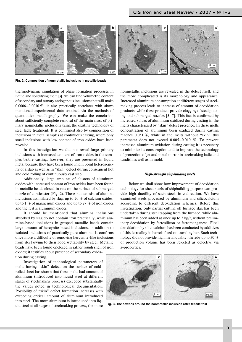

**Fig. 2. Composition of nonmetallic inclusions in metallic beads**

thermodynamic simulation of phase formation processes in liquid and solidifying melt [3], we can find volumetric content of secondary and ternary endogenous inclusions that will make 0.0006–0.0010 %; it also practically correlates with above mentioned experimental data obtained via the methods of quantitative metallography. We can make the conclusion about sufficiently complete removal of the main mass of pri mary nonmetallic inclusions using the existing technology of steel ladle treatment. It is confirmed also by composition of inclusions in metal samples at continuous casting, where only small inclusions with low content of iron oxides have been revealed.

In this investigation we did not reveal large primary inclusions with increased content of iron oxides in the sam ples before casting; however, they are presented in liquid metal because they have been found in pin point heterogene ity of a slab as well as in "skin" defect during consequent hot and cold rolling of continuously cast slab.

Additionally, large amounts of clusters of aluminum oxides with increased content of iron oxides have been found in metallic beads closed in rats on the surface of submerged nozzle of conticaster (Fig. 2). These rats consist of alumina inclusions assimilated by slag: up to 20 % of calcium oxides, up to 1 % of magnesium oxides and up to 27 % of iron oxides and the rest is aluminum oxides.

It should be mentioned that alumina inclusions absorbed by slag do not contain iron practically, while alu mina-based inclusions in grasped metallic beads contain large amount of hercynite-based inclusions, in addition to isolated inclusions of practically pure alumina. It confirms once more a difficulty of removing hercynite-like inclusions from steel owing to their good wettability by steel. Metallic beads have been found enclosed in rather rough shell of iron oxides; it testifies about presence of secondary oxida tion during casting.

Investigation of technological parameters of melts having "skin" defect on the surface of cold rolled sheet has shown that these melts had amount of aluminum (introduced into liquid steel at different stages of steelmaking process) exceeded substantially the values noted in technological documentation. Possibility of "skin" defect formation increases with exceeding critical amount of aluminum introduced into steel. The more aluminum is introduced into liq uid steel at all stages of steelmaking process, the more

nonmetallic inclusions are revealed in the defect itself, and the more complicated is its morphology and appearance. Increased aluminum consumption at different stages of steel making process leads to increase of amount of deoxidation products, while these products provide clogging of steel pour ing and submerged nozzles [5–7]. This fact is confirmed by increased values of aluminum oxidized during casting in the melts characterized by "skin" defect presence. In these melts concentration of aluminum been oxidized during casting reaches 0.051 %, while in the melts without "skin" this parameter does not exceed 0.005–0.010 %. To prevent increased aluminum oxidation during casting it is necessary to minimize its consumption and to improve the technology of protection of jet and metal mirror in steelmaking ladle and tundish as well as in mold.

#### **High-strength shipbuilding steels**

Below we shall show how improvement of deoxidation technology for sheet steels of shipbuilding purpose can pro vide high ductility of such steels in z-direction. We have examined steels processed by aluminum and silicocalcium according to different deoxidation schemes. Before this investigation, only partial cutting off furnace slag has been undertaken during steel tapping from the furnace, while alu minum has been added at once up to 3 kg/t, without prelim inary deoxidation by ferrosilicon or ferromanganese. Final deoxidation by silicocalcium has been conducted by additives of this ferroalloy in barrels fixed on traveling bar. Such tech nology did not provide high metal quality, thereby up to 30 % of production volume has been rejected as defective via z-properties.



**Fig. 3. The cavities around the nonmetallic inclusion after tensile test**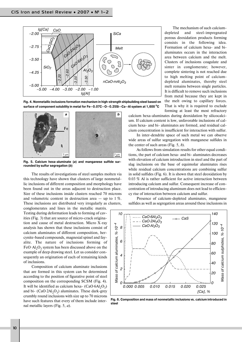

Fig. 4. Nonmetallic inclusions formation mechanism in high-strength shipbuilding steel based on **surface of component solubility in metal for Fe—0.07C—O—0.25Si—Ca—Al system at 1,600 oC**



Fig. 5. Calcium hexa-aluminate (a) and manganese sulfide sur**rounded by sulfur segregation (***b***)**

The results of investigations of steel samples molten via this technology have shown that clusters of large nonmetal lic inclusions of different composition and morphology have been found out in the areas adjacent to destruction place. Size of these inclusions inside clusters reached 70 microns and volumetric content in destruction area  $-$  up to 1 %. These inclusions are distributed very irregularly as clusters,

conglomerates and lines in the metallic matrix. Testing during deformation leads to forming of cav ities (Fig. 3) that are source of micro-crack origination and cause of metal destruction. Micro  $X$ -ray analysis has shown that these inclusions consist of calcium aluminates of different composition, her cynite-based compounds, magnesial spinel and fayalite. The nature of inclusions forming of  $FeO·A<sub>1</sub>·O<sub>2</sub>$  system has been discussed above on the example of deep drawing steel. Let us consider con sequently an origination of each of remaining kinds of inclusions.

Composition of calcium aluminate inclusions that are formed in this system can be determined according to the position of figurative point of steel composition on the corresponding SCSM (Fig. 4). It will be identified as calcium hexa- $(CaO·6A<sub>1</sub>O<sub>3</sub>)$ and bi-  $(CaO·2Al<sub>2</sub>O<sub>3</sub>)$  aluminates. These dark-grey crumbly round inclusions with size up to 70 microns have such features that every of them include inter nal metallic layers (Fig. 5, *a*).

The mechanism of such calcium depleted and steel-impregnated porous deoxidation products forming consists in the following idea. Formation of calcium hexa- and bialuminates occurs in the interaction area between calcium and the melt. Clusters of inclusions coagulate and sinter in conglomerate; however, complete sintering is not reached due to high melting point of calcium depleted aluminates, thereby steel melt remains between single particles. It is difficult to remove such inclusions from metal because they are kept in the melt owing to capillary forces. That is why it is required to exclude forming at least the most refractory

calcium hexa-aluminates during deoxidation by silicocalcium. If calcium content is low, unfavorable inclusions of cal cium hexa- and bi- aluminates are formed, and residual calcium concentration is insufficient for interaction with sulfur.

In inter-dendrite space of such metal we can observe wide areas of sulfur segregation with manganese sulfides in the center of such areas (Fig. 5, *b*).

As follows from simulation results for other equal condi tions, the part of calcium hexa- and bi- aluminates decreases with elevation of calcium introduction in steel and the part of slag inclusions on the base of equimolar aluminates rises while residual calcium concentrations are combining sulfur in solid sulfides (Fig. 6). It is shown that steel deoxidation by 0.03 % Al is rather sufficient for active interaction between introducing calcium and sulfur. Consequent increase of con centration of introducing aluminum does not lead to efficien cy rise of interaction between calcium and sulfur.

Presence of calcium-depleted aluminates, manganese sulfides as well as segregation areas around these inclusions in



**Fig. 6. Composition and mass of nonmetallic inclusions vs. calcium introduced in steel**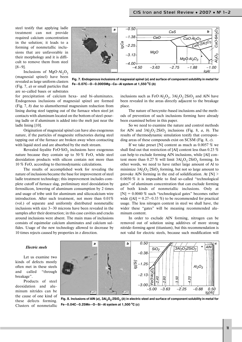steel testify that applying ladle treatment can not provide required calcium concentration in the solution; it leads to a forming of nonmetallic inclu sions that are unfavorable in their morphology and it is diffi cult to remove them from steel [8–9].

Inclusions of  $MgO·Al<sub>2</sub>O<sub>3</sub>$ (magnesial spinel) have been revealed as large uniform clasters (Fig. 7, *a*) or small particles that are so-called bases or substrates

for precipitation of calcium hexa- and bi-aluminates. Endogenous inclusions of magnesial spinel are formed (Fig. 7, *b*) due to alumothermal magnesium reduction from lining during steel tapping out of the furnace when steel jet contacts with aluminum located on the bottom of steel-pouring ladle or if aluminum is added into the melt just near the ladle lining [10].

Origination of magnesial spinel can have also exogenous nature, if the particles of magnesite refractories during steel tapping out of the furnace are broken away when contacting with liquid steel and are absorbed by the melt stream.

Revealed fayalite  $FeO·SiO<sub>2</sub>$  inclusions have exogenous nature because they contain up to 50 % FeO, while steel deoxidation products with silicon contain not more than 10 % FeO, according to thermodynamic calculations.

The results of accomplished work for revealing the nature of inclusions became the base for improvement of steel ladle treatment technology; this improvement includes com plete cutoff of furnace slag, preliminary steel deoxidation by ferrosilicon, lowering of aluminum consumption by 2 times and usage of tribe unit for aluminum and silicocalcium wire introduction. After such treatment, not more than 0.01% (vol.) of separate and uniformly distributed nonmetallic inclusions with size 3–30 microns have been revealed in the samples after their destruction; in this case cavities and cracks around inclusions were absent. The main mass of inclusions consists of equimolar calcium aluminates and calcium sul fides. Usage of the new technology allowed to decrease by 10 times rejects caused by properties in z direction.



**Fig. 7. Endogenous inclusions of magnesial spinel (***a***) and surface of component solubility in metal for Fe—0.07C—O—0.0005Mg—Ca—Al system at 1,550 oC (***b***)**

inclusions such as FeO·Al<sub>2</sub>O<sub>3</sub>, 3Al<sub>2</sub>O<sub>3</sub>.2SiO<sub>2</sub> and AlN have been revealed in the areas directly adjacent to the breakage place.

The nature of hercynite-based inclusions and the methods of prevention of such inclusions forming have already been examined before in this paper.

So we need to examine the nature and control methods for AlN and  $3\text{Al}_2\text{O}_3$  : 2SiO<sub>2</sub> inclusions (Fig. 8, *a, b*). The results of thermodynamic simulation testify that correspon ding areas of these compounds exist on SCSM (Fig. 8, *c*).

If we take preset [N] content as much as 0.0057 % we shall find out that restriction of [Al] content less than 0.23 % can help to exclude forming AlN inclusions, while [Al] con tent more than  $0.27\%$  will limit  $3Al_2O_3$  2SiO<sub>2</sub> forming. In other words, we need to have rather large amount of Al to minimize  $3Al_2O_3$ :  $2SiO_2$  forming, but not so large amount to provoke AlN forming in the end of solidification. At [N] >  $0.0050\%$  it is impossible to find so-called "technological gates" of aluminum concentration that can exclude forming of both kinds of nonmetallic inclusions. Only at  $[N] = 0.0040\%$  such "technological gates" becomes rather wide ( $[A] = 0.27-0.33\%$ ) to be recommended for practical usage. The less nitrogen content in steel we shall have, the wider these "gates" will be meaning recommended aluminum content.  $\frac{8}{5}$  -2.25<br>
-3.13<br>
-4.50<br>
-4.50<br>
-4.50<br>
-4.50<br>
-4.50<br>
-4.50<br>
-4.50<br>
-4.50<br>
-4.50<br>
-4.50<br>
-4.50<br>
-3.63<br>
-2.75<br>
-1.88<br>
Individual for electric steels of component solubility in metal for<br>
wincultsions such as FeOAl<sub>2</sub>O

In order to exclude AlN forming, nitrogen can be removed out of solution using additives of more strong nitride-forming agent (titanium), but this recommendation is

#### *Electric steels*

Let us examine two kinds of defects mostly often met in these steels and called "through breakage".

Products of steel deoxidation and alu minum nitrides can be the cause of one kind of these defects forming. Clusters of nonmetallic



Fig. 8. Inclusions of AIN (*a*), 3Al<sub>2</sub>O<sub>3</sub>.2SiO<sub>2</sub> (*b*) in electric steel and surface of component solubility in metal for **Fe—0.04C—0.25Mn—O—Si—Al system at 1,500 oC (***c***)**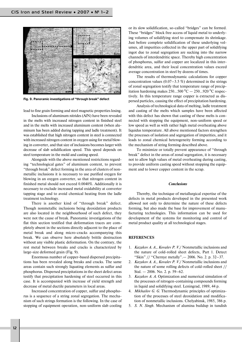

**Fig. 9. Panoramic investigations of "through break" defect**

lead to fine grain forming and steel magnetic properties losing. Inclusions of aluminum nitrides (AlN) have been revealed in the melts with increased nitrogen content in finished steel and in the melts with increased aluminum content (when alu minum has been added during tapping and ladle treatment). It was established that high nitrogen content in steel is connected with increased nitrogen content in oxygen using for metal blow ing in converter, and that size of inclusions becomes larger with decrease of slab solidification speed. This speed depends on steel temperature in the mold and casting speed.

Alongside with the above mentioned restrictions regard ing "technological gates" of aluminum content, to prevent "through break" defect forming in the area of clusters of non metallic inclusions it is necessary to use purified oxygen for blowing in an oxygen converter, so that nitrogen content in finished metal should not exceed 0.0040%. Additionally it is necessary to exclude increased metal oxidability at converter tapping stage and to avoid chemical heating from the ladle treatment technology.

There is another kind of "through break" defect. Though nonmetallic inclusions being deoxidation products are also located in the neighbourhood of such defect, they were not the cause of break. Panoramic investigations of the flat thin section testified that deformation traces are com pletely absent in the sections directly adjacent to the place of metal break and along micro-cracks accompanying this break. We can observe here absolutely brittle destruction without any visible plastic deformation. On the contrary, the rest metal between breaks and cracks is characterized by large-size deformed grain (Fig. 9).

Enormous number of copper-based dispersed precipitations has been revealed along breaks and cracks. The same areas contain such strongly liquating elements as sulfur and phosphorus. Dispersed precipitations in the sheet defect areas testify that precipitation hardening of steel occurred in this case. It is accompanied with increase of yield strength and decrease of metal ductile parameters in local areas.

Increased concentration of copper, sulfur and phospho rus is a sequence of a string zonal segregation. The mecha nism of such strings formation is the following. In the case of stopping of equipment operation, non-uniform slab cooling

or its slow solidification, so-called "bridges" can be formed. These "bridges" block free access of liquid metal to underly ing volumes of solidifying steel to compensate its shrinkage. Just before complete solidification of these underlying vol umes, all impurities collected in the upper part of solidifying ingot due to zonal segregation are sucking into the narrow channels of interdendritic space. Thereby high concentration of phosphorus, sulfur and copper are localized in this inter dendritic area, and their local concentration values exceed average concentration in steel by dozens of times.

The results of thermodynamic calculations for copper concentration values  $(0.07-3.5\%)$  determined in the strings of zonal segregation testify that temperature range of precip itation hardening makes  $250...500 °C - 250...920 °C$  respectively. In this temperature range copper is extracted as dis persed particles, causing the effect of precipitation hardening.

Analysis of technological data of melting, ladle treatment and casting of the melts which samples have been affected with this defect has shown that casting of these melts is con nected with stopping the equipment, non-uniform speed or low speed as well as with rather high metal overheating above liquidus temperature. All above mentioned factors strengthen the processes of isolation and segregation of impurities, and it leads to zonal chemical heterogeneity forming according to the mechanism of string forming described above.

To minimize or totally prevent appearance of "through break" defect in the areas of zonal segregation, it is necessary not to allow high values of metal overheating during casting, to provide uniform casting speed without stopping the equip ment and to lower copper content in the scrap.

#### *Conclusions*

Thereby, the technique of metallurgical expertise of the defects in metal products developed in the presented work allowed not only to determine the nature of these defects forming, but also made the base for improvement of manu facturing technologies. This information can be used for development of the systems for monitoring and control of metal product quality at all technological stages.

#### **REFERENCES**

- 1. *Kazakov A. A., Kovalev P. V.*/ Nonmetallic inclusions and the nature of cold-rolled sheet defects. Part 1. Detect "Skin" // "Chernye metally".— 2006. No. 2. p. 32–37.
- 2. *Kazakov A. A., Kovalev P. V.*/ Nonmetallic inclusions and the nature of some rolling defects of cold-rolled sheet // Stal. — 2006. No. 2. p. 59–62.
- 3. *Kazakov A. A.* Optimization and numerical simulation of the processes of nitrogen-containing compounds forming in liquid and solidifying steel. Leningrad, 1989, 44 p.
- 4. *Mikhailov G. G.* Thermodynamic principles of optimiza tion of the processes of steel deoxidation and modifica tion of nonmetallic inclusions. Chelyabinsk, 1985, 386 p.
- 5. *S. N. Singh*. Mechanism of alumina buildup in tundish